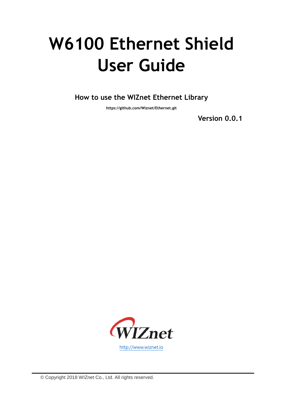# **W6100 Ethernet Shield User Guide**

**How to use the WIZnet Ethernet Library**

**https://github.com/Wiznet/Ethernet.git**

**Version 0.0.1**

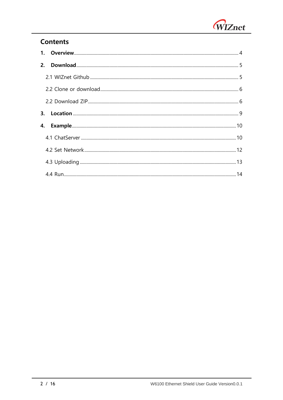

# **Contents**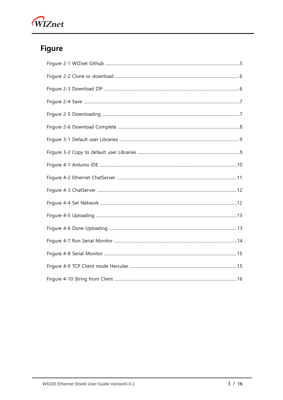

# **Figure**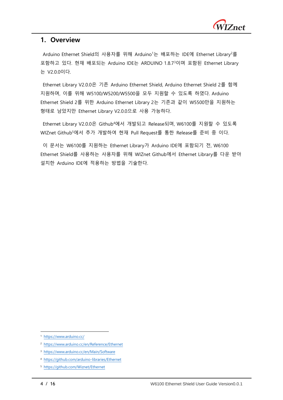

### <span id="page-3-0"></span>**1. Overview**

Arduino Ethernet Shield의 사용자를 위해 Arduino<sup>1</sup>는 배포하는 IDE에 Ethernet Library<sup>2</sup>를 포함하고 있다. 현재 배포되는 Arduino IDE는 ARDUINO 1.8.7<sup>3</sup>이며 포함된 Ethernet Library 는 V2.0.0이다.

Ethernet Library V2.0.0은 기존 Arduino Ethernet Shield, Arduino Ethernet Shield 2를 함께 지원하며, 이를 위해 W5100/W5200/W5500을 모두 지원할 수 있도록 하였다. Arduino Ethernet Shield 2를 위한 Arduino Ethernet Library 2는 기존과 같이 W5500만을 지원하는 형태로 남았지만 Ethernet Library V2.0.0으로 사용 가능하다.

Ethernet Library V2.0.0은 Github<sup>4</sup>에서 개발되고 Release되며, W6100를 지원할 수 있도록 WIZnet Github<sup>5</sup>에서 추가 개발하여 현재 Pull Request를 통한 Release를 준비 중 이다.

이 문서는 W6100를 지원하는 Ethernet Library가 Arduino IDE에 포함되기 전, W6100 Ethernet Shield를 사용하는 사용자를 위해 WIZnet Github에서 Ethernet Library를 다운 받아 설치한 Arduino IDE에 적용하는 방법을 기술한다.

-

<sup>1</sup> <https://www.arduino.cc/>

<sup>2</sup> <https://www.arduino.cc/en/Reference/Ethernet>

<sup>3</sup> <https://www.arduino.cc/en/Main/Software>

<sup>4</sup> <https://github.com/arduino-libraries/Ethernet>

<sup>5</sup> <https://github.com/Wiznet/Ethernet>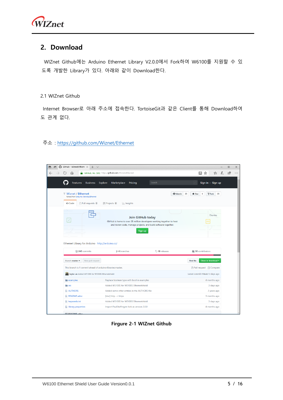# <span id="page-4-0"></span>**2. Download**

WIZnet Github에는 Arduino Ethernet Library V2.0.0에서 Fork하여 W6100를 지원할 수 있 도록 개발한 Library가 있다. 아래와 같이 Download한다.

#### <span id="page-4-1"></span>2.1 WIZnet Github

Internet Browser로 아래 주소에 접속한다. TortoiseGit과 같은 Client를 통해 Download하여 도 관계 없다.

#### 주소 :<https://github.com/Wiznet/Ethernet>

| 屳                                                                                            | GitHub, Inc. [US] https://github.com/Wiznet/Ethernet                                                                                                         |                    | Ⅲ ☆<br>☆                                                     |
|----------------------------------------------------------------------------------------------|--------------------------------------------------------------------------------------------------------------------------------------------------------------|--------------------|--------------------------------------------------------------|
| <b>Business</b><br><b>Features</b>                                                           | Pricing<br>Explore<br>Marketplace                                                                                                                            | Search             | Sign in or Sign up<br>$\sqrt{2}$                             |
| <b>Wiznet / Ethernet</b><br>forked from arduino-libraries/Ethernet                           |                                                                                                                                                              | <b>Watch</b>       | $\sqrt{2}$ Fork<br>23<br>35<br><b>★</b> Star<br>$\mathbf{1}$ |
| <> Code<br>(*) Pull requests 0                                                               | <b>III</b> Projects 0<br><b>Ill Insights</b>                                                                                                                 |                    |                                                              |
| $\checkmark$                                                                                 | Join GitHub today<br>GitHub is home to over 28 million developers working together to host<br>and review code, manage projects, and build software together. |                    | <b>Dismiss</b>                                               |
|                                                                                              | Sign up                                                                                                                                                      |                    |                                                              |
| C 243 commits                                                                                | 194 branches                                                                                                                                                 | <b>10</b> releases | <b>11 30 contributors</b>                                    |
| New pull request<br>Branch: master =                                                         |                                                                                                                                                              |                    | Clone or download *<br><b>Find file</b>                      |
|                                                                                              |                                                                                                                                                              |                    | <b>『I Pull request</b> ■ Compare                             |
| taylor-an Added W5100S for W5100S Ethernetshield                                             |                                                                                                                                                              |                    | Latest commit f78bdb7 3 days ago                             |
| examples                                                                                     | Replace boolean type with bool in examples                                                                                                                   |                    | 4 months ago                                                 |
| <b>SFC</b>                                                                                   | Added W5100S for W5100S Ethernetshield                                                                                                                       |                    |                                                              |
|                                                                                              | Added some other entries in the AUTHORS file                                                                                                                 |                    | 3 days ago<br>2 years ago                                    |
| This branch is 1 commit ahead of arduino-libraries: master.<br><b>AUTHORS</b><br>README.adoc | [doc] http -> https                                                                                                                                          |                    |                                                              |
| Ethernet Library for Arduino http://arduino.cc/<br>Reywords.txt                              | Added W5100S for W5100S Ethernetshield                                                                                                                       |                    | 3 months ago<br>3 days ago                                   |

<span id="page-4-2"></span>**Firgure 2-1 WIZnet Github**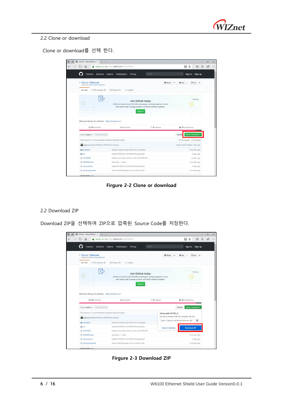

#### <span id="page-5-0"></span>2.2 Clone or download

Clone or download를 선택 한다.

| ⋒                                                                                                                                                       | GitHub, Inc. [US] https://github.com/Wiznet/Ethernet                                                                                                         |                    | 四 ☆<br>☆                                                                |
|---------------------------------------------------------------------------------------------------------------------------------------------------------|--------------------------------------------------------------------------------------------------------------------------------------------------------------|--------------------|-------------------------------------------------------------------------|
| <b>Business</b><br>Features                                                                                                                             | Pricing<br>Explore<br>Marketplace                                                                                                                            | Search             | Sign in or Sign up                                                      |
| <b>Wiznet / Ethernet</b><br>forked from arduino-libraries/Ethernet                                                                                      |                                                                                                                                                              | <b>O</b> Watch     | $Y$ Fork<br>23<br><b>*</b> Star<br>35<br>$\mathbf{1}$                   |
| <> Code<br>17 Pull requests 0                                                                                                                           | <b>III</b> Projects 0<br><b>Ill</b> Insights                                                                                                                 |                    |                                                                         |
| $\checkmark$                                                                                                                                            | Join GitHub today<br>GitHub is home to over 28 million developers working together to host<br>and review code, manage projects, and build software together. |                    | <b>Dismiss</b>                                                          |
|                                                                                                                                                         |                                                                                                                                                              |                    |                                                                         |
|                                                                                                                                                         | Sign up                                                                                                                                                      |                    |                                                                         |
| Co 243 commits                                                                                                                                          | $\n  u$ + branches                                                                                                                                           | <b>10</b> releases | 11 30 contributors                                                      |
| Branch: master -<br>New pull request                                                                                                                    |                                                                                                                                                              |                    | Clone or download *<br>Find file                                        |
|                                                                                                                                                         |                                                                                                                                                              |                    | 门 Pull request [1] Compare                                              |
| taylor-an Added W5100S for W5100S Ethernetshield                                                                                                        |                                                                                                                                                              |                    | Latest commit #78bdb7 3 days ago                                        |
| examples                                                                                                                                                | Replace boolean type with bool in examples                                                                                                                   |                    |                                                                         |
| <b>STC</b>                                                                                                                                              | Added W5100S for W5100S Ethernetshield                                                                                                                       |                    |                                                                         |
|                                                                                                                                                         | Added some other entries in the AUTHORS file                                                                                                                 |                    |                                                                         |
|                                                                                                                                                         | [doc] http -> https                                                                                                                                          |                    |                                                                         |
| Ethernet Library for Arduino http://arduino.cc/<br>This branch is 1 commit ahead of arduino-libraries:master.<br>AUTHORS<br>README.adoc<br>Reywords.txt | Added W5100S for W5100S Ethernetshield                                                                                                                       |                    | 4 months ago<br>3 days ago<br>2 years ago<br>3 months ago<br>3 days ago |

**Firgure 2-2 Clone or download**

#### <span id="page-5-2"></span><span id="page-5-1"></span>2.2 Download ZIP

Download ZIP을 선택하여 ZIP으로 압축된 Source Code를 저장한다.



<span id="page-5-3"></span>**Firgure 2-3 Download ZIP**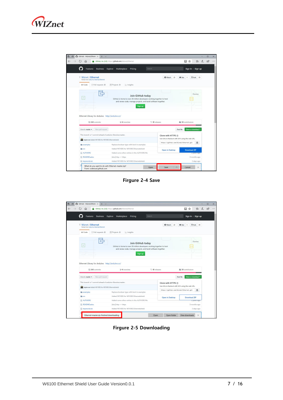

| $\bigcap$ GitHub - Wiznet/Ethern $\times$<br>$+$ $\vee$                                                       |                                                                                            |                        |                                                 |                   |
|---------------------------------------------------------------------------------------------------------------|--------------------------------------------------------------------------------------------|------------------------|-------------------------------------------------|-------------------|
| ⋒                                                                                                             | GitHub, Inc. [US] https://github.com/Wiznet/Ethernet                                       |                        | Ⅲ ☆                                             | $\mathbb{Z}$<br>仝 |
| <b>Business</b><br>Features                                                                                   | Pricing<br>Explore<br>Marketplace                                                          | Search                 | Sign in or Sign up                              |                   |
| <b>Wiznet / Ethernet</b><br>forked from arduino-libraries/Ethernet                                            | <b>Y</b> Fork<br><b>★</b> Star                                                             | 35                     |                                                 |                   |
| <> Code<br>1 <sup>t</sup> ) Pull requests 0                                                                   | III Projects 0<br>Ill Insights                                                             |                        |                                                 |                   |
| $\checkmark$                                                                                                  | Join GitHub today<br>GitHub is home to over 28 million developers working together to host |                        |                                                 | <b>Dismiss</b>    |
| and review code, manage projects, and build software together.                                                |                                                                                            |                        |                                                 |                   |
|                                                                                                               | Sign up                                                                                    |                        |                                                 |                   |
|                                                                                                               |                                                                                            |                        |                                                 |                   |
|                                                                                                               |                                                                                            |                        |                                                 |                   |
| C 243 commits                                                                                                 | <b>1/2 4</b> branches                                                                      | <b>O</b> 10 releases   | 11 30 contributors                              |                   |
|                                                                                                               |                                                                                            |                        |                                                 |                   |
| Branch: master +<br>New pull request                                                                          |                                                                                            |                        | <b>Find file</b><br>Clone or download *         |                   |
| Ethernet Library for Arduino http://arduino.cc/<br>This branch is 1 commit ahead of arduino-libraries:master. |                                                                                            | Clone with HTTPS @     |                                                 |                   |
| taylor-an Added W5100S for W5100S Ethernetshield                                                              |                                                                                            |                        | Use Git or checkout with SVN using the web URL. |                   |
| <b>Examples</b>                                                                                               | Replace boolean type with bool in examples                                                 |                        | https://github.com/Wiznet/Ethernet.git          | 爵                 |
| <b>STC</b>                                                                                                    | Added W5100S for W5100S Ethernetshield                                                     |                        |                                                 |                   |
|                                                                                                               | Added some other entries in the AUTHORS file                                               | <b>Open in Desktop</b> | <b>Download ZIP</b>                             |                   |
| AUTHORS<br>README.adoc                                                                                        | [doc] http -> https                                                                        |                        | 3 months ago                                    | z years ago       |

**Firgure 2-4 Save**

<span id="page-6-0"></span>

| ⋒                                                                                                                                 | GitHub, Inc. [US] https://github.com/Wiznet/Ethernet                                                                                                         |                          | Ⅲ☆<br>☆≡                                        |
|-----------------------------------------------------------------------------------------------------------------------------------|--------------------------------------------------------------------------------------------------------------------------------------------------------------|--------------------------|-------------------------------------------------|
| <b>Business</b><br>Features                                                                                                       | Pricing<br>Explore<br>Marketplace                                                                                                                            | Search                   | Sign in or Sign up                              |
| <b>Wiznet / Ethernet</b><br>forked from arduino-libraries/Ethernet<br><> Code<br>17 Pull requests 0                               | III Projects 0<br><b>Ill</b> Insights                                                                                                                        | <b>O</b> Watch           | $Y$ Fork 35<br>23<br><b>*</b> Star              |
| $\checkmark$                                                                                                                      | Join GitHub today<br>GitHub is home to over 28 million developers working together to host<br>and review code, manage projects, and build software together. |                          | <b>Dismiss</b>                                  |
|                                                                                                                                   | Sign up                                                                                                                                                      |                          |                                                 |
| Co 243 commits                                                                                                                    | $$4$ branches                                                                                                                                                | <sup>0</sup> 10 releases | 11 30 contributors                              |
| New pull request                                                                                                                  |                                                                                                                                                              |                          | <b>Find file</b><br>Clone or download +         |
| Ethernet Library for Arduino http://arduino.cc/<br>Branch: master -<br>This branch is 1 commit ahead of arduino-libraries:master. |                                                                                                                                                              | Clone with HTTPS @       | Use Git or checkout with SVN using the web URL. |
| taylor-an Added W5100S for W5100S Ethernetshield<br><b>illu</b> examples                                                          | Replace boolean type with bool in examples                                                                                                                   |                          | 爵<br>https://github.com/Wiznet/Ethernet.git     |
|                                                                                                                                   | Added W5100S for W5100S Ethernetshield                                                                                                                       |                          | Download ZIP                                    |
|                                                                                                                                   | Added some other entries in the AUTHORS file                                                                                                                 | <b>Open in Desktop</b>   | z years ago                                     |
| <sup>th</sup> src<br>AUTHORS<br>README.adoc                                                                                       | [doc] http -> https                                                                                                                                          |                          | 3 months ago                                    |

<span id="page-6-1"></span>**Firgure 2-5 Downloading**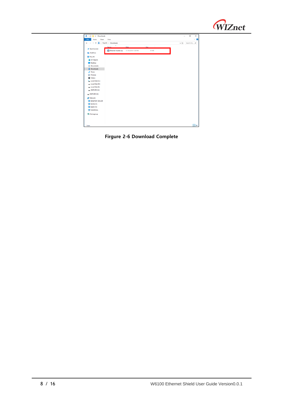

| ₩<br>$\overline{\mathbf{v}}$ Downloads |                                                    | $\Box$<br>$\times$<br>Ø<br>$\checkmark$ |  |  |  |  |
|----------------------------------------|----------------------------------------------------|-----------------------------------------|--|--|--|--|
|                                        | File<br>Home<br>Share<br>View                      |                                         |  |  |  |  |
| $\leftarrow$<br>v<br>$\rightarrow$     | > This PC > Downloads<br>个                         |                                         |  |  |  |  |
|                                        | $\hat{\phantom{a}}$<br>Size<br><b>Date</b><br>Name |                                         |  |  |  |  |
| <b>x</b> Quick access                  | Ethernet-master.zip<br>11/16/2018 1:30 PM<br>61 KB |                                         |  |  |  |  |
| <b>Concluive</b>                       |                                                    |                                         |  |  |  |  |
| This PC                                |                                                    |                                         |  |  |  |  |
| 3D Objects                             |                                                    |                                         |  |  |  |  |
| Desktop                                |                                                    |                                         |  |  |  |  |
| <b>Documents</b>                       |                                                    |                                         |  |  |  |  |
| Downloads                              |                                                    |                                         |  |  |  |  |
| Music                                  |                                                    |                                         |  |  |  |  |
| Pictures                               |                                                    |                                         |  |  |  |  |
| Videos                                 |                                                    |                                         |  |  |  |  |
| Local Disk (C:)                        |                                                    |                                         |  |  |  |  |
| Local Disk (D:)                        |                                                    |                                         |  |  |  |  |
| Local Disk (E:)                        |                                                    |                                         |  |  |  |  |
| DAPLINK (G:)                           |                                                    |                                         |  |  |  |  |
| DAPLINK (G:)                           |                                                    |                                         |  |  |  |  |
| Network                                |                                                    |                                         |  |  |  |  |
| <b>DESKTOP-TAYLOR</b>                  |                                                    |                                         |  |  |  |  |
| <b>KEVIN-PC</b>                        |                                                    |                                         |  |  |  |  |
| KIMYI-PC                               |                                                    |                                         |  |  |  |  |
| NAS2DUAL                               |                                                    |                                         |  |  |  |  |
| • Homegroup                            |                                                    |                                         |  |  |  |  |
|                                        |                                                    |                                         |  |  |  |  |
|                                        |                                                    |                                         |  |  |  |  |
|                                        |                                                    |                                         |  |  |  |  |
| 1 item                                 |                                                    | 胆量                                      |  |  |  |  |

<span id="page-7-0"></span>**Firgure 2-6 Download Complete**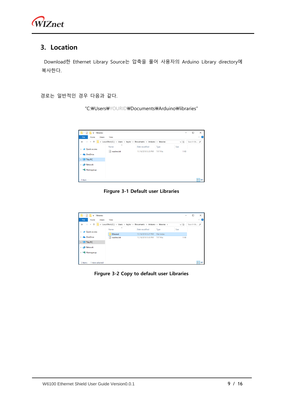

# <span id="page-8-0"></span>**3. Location**

Download한 Ethernet Library Source는 압축을 풀어 사용자의 Arduino Library directory에 복사한다.

경로는 일반적인 경우 다음과 같다.

"C:\Users\YOURID\Documents\Arduino\libraries"

| $\overline{\phantom{a}}$ libraries |                                 |                                                                                                                     | $\overline{\phantom{a}}$ | $\times$<br>◻ |
|------------------------------------|---------------------------------|---------------------------------------------------------------------------------------------------------------------|--------------------------|---------------|
| File<br>Home<br>Share              | View                            |                                                                                                                     |                          | $\vee$ 0      |
| $\leftarrow$                       |                                 | $\Rightarrow$ $\lor$ $\uparrow$ $\blacksquare$ « Local Disk (C:) > Users > taylor > Documents > Arduino > libraries | $\sim$ $\circ$           | Search lib p  |
|                                    | $\widehat{\phantom{a}}$<br>Name | <b>Date modified</b><br>Type                                                                                        | Size                     |               |
| <b>A</b> Quick access              | eadme.txt                       | 11/16/2018 5:33 PM<br><b>TXT File</b>                                                                               | 1 KB                     |               |
| <b>Co.</b> OneDrive                |                                 |                                                                                                                     |                          |               |
| $\blacksquare$ This PC             |                                 |                                                                                                                     |                          |               |
| Network                            |                                 |                                                                                                                     |                          |               |
| • Homegroup                        |                                 |                                                                                                                     |                          |               |
|                                    |                                 |                                                                                                                     |                          |               |
| 1 item                             |                                 |                                                                                                                     |                          | 胆固            |

**Firgure 3-1 Default user Libraries**

<span id="page-8-1"></span>

| $\overline{\mathbf{v}}$ libraries |                                 |                                                                                                                              | $\overline{\phantom{a}}$ | $\times$<br>□     |
|-----------------------------------|---------------------------------|------------------------------------------------------------------------------------------------------------------------------|--------------------------|-------------------|
| File<br>Share<br>Home             | View                            |                                                                                                                              |                          | Ø<br>$\checkmark$ |
| $\leftarrow$                      |                                 | $\Rightarrow$ $\sim$ $\uparrow$ $\uparrow$ $\bullet$ << Local Disk (C:) > Users > taylor > Documents > Arduino > libraries > | $\sim$ 0                 | Search lib P      |
| <b>A</b> Quick access             | $\widehat{\phantom{a}}$<br>Name | Date modified<br>Type                                                                                                        | Size                     |                   |
|                                   | Ethernet                        | 11/16/2018 5:37 PM<br><b>File folder</b>                                                                                     |                          |                   |
| <b>Conceptive</b>                 | Ħ<br>readme.txt                 | 11/16/2018 5:33 PM<br><b>TXT File</b>                                                                                        | 1 KB                     |                   |
| This PC                           |                                 |                                                                                                                              |                          |                   |
| Network                           |                                 |                                                                                                                              |                          |                   |
| • Homegroup                       |                                 |                                                                                                                              |                          |                   |
|                                   |                                 |                                                                                                                              |                          |                   |
| 1 item selected<br>2 items        |                                 |                                                                                                                              |                          | <b>BEE</b>        |

<span id="page-8-2"></span>**Firgure 3-2 Copy to default user Libraries**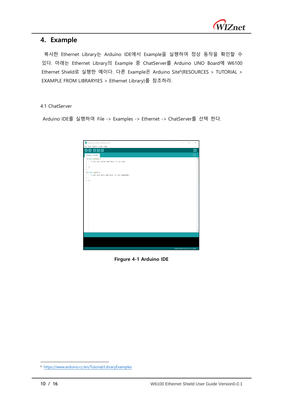

## <span id="page-9-0"></span>**4. Example**

복사한 Ethernet Library는 Arduino IDE에서 Example을 실행하여 정상 동작을 확인할 수 있다. 아래는 Ethernet Library의 Example 중 ChatServer를 Arduino UNO Board에 W6100 Ethernet Shield로 실행한 예이다. 다른 Example은 Arduino Site<sup>6</sup> (RESOURCES > TUTORIAL > EXAMPLE FROM LIBRARYIES > Ethernet Library)를 참조하라.

#### <span id="page-9-1"></span>4.1 ChatServer

Arduino IDE를 실행하여 File -> Examples -> Ethernet -> ChatServer를 선택 한다.



**Firgure 4-1 Arduino IDE**

<span id="page-9-2"></span>-

<sup>6</sup> <https://www.arduino.cc/en/Tutorial/LibraryExamples>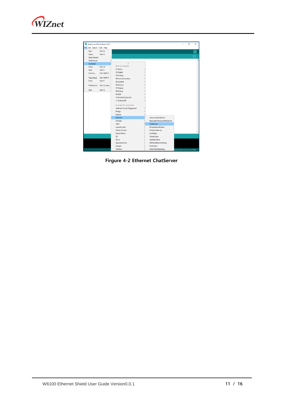

<span id="page-10-0"></span>

**Firgure 4-2 Ethernet ChatServer**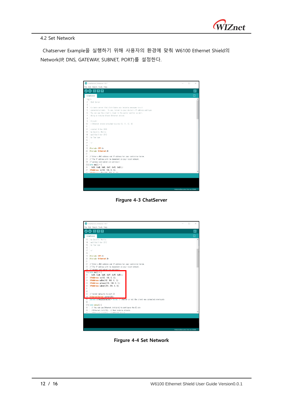

#### <span id="page-11-0"></span>4.2 Set Network

Chatserver Example을 실행하기 위해 사용자의 환경에 맞춰 W6100 Ethernet Shield의 Network(IP, DNS, GATEWAY, SUBNET, PORT)를 설정한다.



**Firgure 4-3 ChatServer**

<span id="page-11-1"></span>

<span id="page-11-2"></span>**Firgure 4-4 Set Network**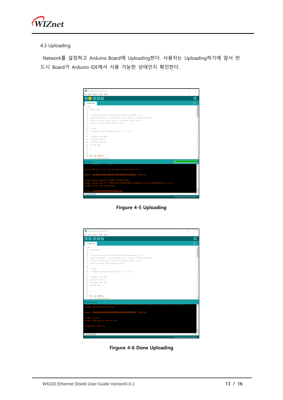

#### <span id="page-12-0"></span>4.3 Uploading

Network를 설정하고 Arduino Board에 Uploading한다. 사용자는 Uploading하기에 앞서 반 드시 Board가 Arduino IDE에서 사용 가능한 상태인지 확인한다.

|                              | CO ChatServer   Arduino 1.8.7                                                                                                                                     |                             | п | $\times$      |
|------------------------------|-------------------------------------------------------------------------------------------------------------------------------------------------------------------|-----------------------------|---|---------------|
|                              | File Edit Sketch Tools Help<br>全体<br><b>B</b><br>٠                                                                                                                |                             |   | lo.           |
|                              |                                                                                                                                                                   |                             |   |               |
|                              | ChatServer                                                                                                                                                        |                             |   |               |
| $1 \boxtimes$ /*             |                                                                                                                                                                   |                             |   |               |
| $\mathfrak{p}$<br>3          | Chat Server                                                                                                                                                       |                             |   |               |
| 4                            | A simple server that distributes any incoming messages to all                                                                                                     |                             |   |               |
| 5                            | connected clients. To use, telnet to your device's IP address and type.                                                                                           |                             |   |               |
| 6                            | You can see the client's input in the serial monitor as well.                                                                                                     |                             |   |               |
| 7                            | Using an Arduino Viznet Ethernet shield.                                                                                                                          |                             |   |               |
| 8                            |                                                                                                                                                                   |                             |   |               |
| 9                            | Circuit:                                                                                                                                                          |                             |   |               |
| $1 \cap$                     | + Ethernet shield attached to pins 10, 11, 12, 13                                                                                                                 |                             |   |               |
| 11                           |                                                                                                                                                                   |                             |   |               |
| 12                           | created 18 Dec 2009                                                                                                                                               |                             |   |               |
| 13                           | by David A. Mellis                                                                                                                                                |                             |   |               |
| 14                           | nodified 9 Apr 2012                                                                                                                                               |                             |   |               |
| 15                           | by Tom Isce                                                                                                                                                       |                             |   |               |
| 16                           |                                                                                                                                                                   |                             |   |               |
| 17                           | $+1$                                                                                                                                                              |                             |   |               |
| 18                           |                                                                                                                                                                   |                             |   |               |
| 19                           | #include <spl.h></spl.h>                                                                                                                                          |                             |   |               |
| 20 <sub>1</sub>              | finature -Fthornet by                                                                                                                                             |                             |   |               |
|                              | Uploading                                                                                                                                                         |                             |   |               |
|                              | 100112-010                                                                                                                                                        |                             |   |               |
|                              |                                                                                                                                                                   |                             |   |               |
|                              | avrdude: AVR device initialized and ready to accept instructions                                                                                                  |                             |   |               |
|                              | <b>100X 0.01s</b> 100X 0.01s<br>Reading   ################                                                                                                        |                             |   |               |
|                              |                                                                                                                                                                   |                             |   |               |
|                              |                                                                                                                                                                   |                             |   |               |
|                              | avrdude: Device signature = Oxle950f (probably m328p)<br>avrdude: reading input file "C:WUsersWtaylorWAppDataWLocalWTempWarduino_build_619538/ChatServer.ino.hex" |                             |   |               |
|                              | avrdude: writing flash (12794 bytes):                                                                                                                             |                             |   |               |
|                              |                                                                                                                                                                   |                             |   |               |
|                              |                                                                                                                                                                   |                             |   |               |
| $\left\langle \right\rangle$ |                                                                                                                                                                   |                             |   | $\rightarrow$ |
|                              |                                                                                                                                                                   | Arduino/Genuino Uno on COM9 |   |               |

**Firgure 4-5 Uploading**

<span id="page-12-1"></span>

<span id="page-12-2"></span>**Firgure 4-6 Done Uploading**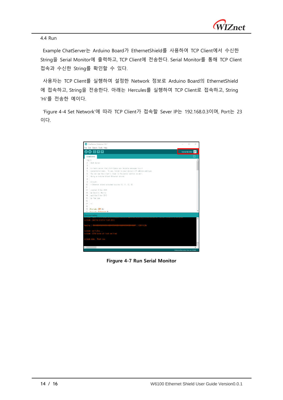

<span id="page-13-0"></span>4.4 Run

Example ChatServer는 Arduino Board가 EthernetShield를 사용하여 TCP Client에서 수신한 String을 Serial Monitor에 출력하고, TCP Client에 전송한다. Serial Monitor를 통해 TCP Client 접속과 수신한 String를 확인할 수 있다.

사용자는 TCP Client를 실행하여 설정한 Network 정보로 Arduino Board의 EthernetShield 에 접속하고, String을 전송한다. 아래는 Hercules를 실행하여 TCP Client로 접속하고, String 'Hi'를 전송한 예이다.

'Figure 4-4 Set Network'에 따라 TCP Client가 접속할 Sever IP는 192.168.0.3이며, Port는 23 이다.

<span id="page-13-1"></span>

**Firgure 4-7 Run Serial Monitor**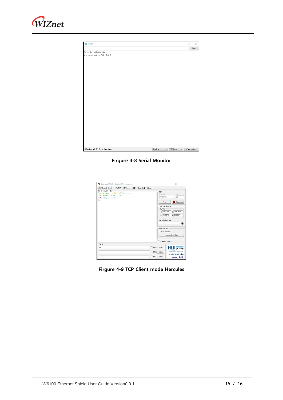

| CO COM9                          | $\overline{\phantom{0}}$                           | $\Box$ | $\times$     |
|----------------------------------|----------------------------------------------------|--------|--------------|
|                                  |                                                    |        | Send         |
| Serial Initialize Complete       |                                                    |        |              |
| Chat server address: 192.168.0.3 |                                                    |        |              |
|                                  |                                                    |        |              |
|                                  |                                                    |        |              |
|                                  |                                                    |        |              |
|                                  |                                                    |        |              |
|                                  |                                                    |        |              |
|                                  |                                                    |        |              |
|                                  |                                                    |        |              |
|                                  |                                                    |        |              |
|                                  |                                                    |        |              |
|                                  |                                                    |        |              |
|                                  |                                                    |        |              |
|                                  |                                                    |        |              |
|                                  |                                                    |        |              |
|                                  |                                                    |        |              |
|                                  |                                                    |        |              |
|                                  |                                                    |        |              |
|                                  |                                                    |        |              |
|                                  |                                                    |        |              |
|                                  |                                                    |        |              |
|                                  |                                                    |        |              |
|                                  |                                                    |        |              |
|                                  |                                                    |        |              |
|                                  |                                                    |        |              |
|                                  |                                                    |        |              |
|                                  |                                                    |        |              |
|                                  |                                                    |        |              |
|                                  |                                                    |        |              |
|                                  |                                                    |        |              |
|                                  |                                                    |        |              |
| ☑ Autoscroll 2 Show timestamp    | Newline<br>9600 baud<br>$\checkmark$<br>$\backsim$ |        | Clear output |

**Firgure 4-8 Serial Monitor**

<span id="page-14-0"></span>

| Hercules SETUP utility by HW-group.com                               |                    | $\times$                      |
|----------------------------------------------------------------------|--------------------|-------------------------------|
| UDP Setup   Serial TCP Client   TCP Server   UDP   Test Mode   About |                    |                               |
| Beceived/Sent data                                                   |                    |                               |
| Connecting to 192.168.0.3                                            | TCP                |                               |
| Connected to 192.168.0.3                                             | Module IP          | Port                          |
| HiHello, client!                                                     | 192.168.0.3        | 123                           |
| H1                                                                   |                    |                               |
|                                                                      | Ping               | X Disconnect                  |
|                                                                      | TEA authorization  |                               |
|                                                                      | $\sqcap$ TEA key   |                               |
|                                                                      |                    | 1: 01020304 3: 090A0BOC       |
|                                                                      | 2: 05060708        | 4: 000E0F10                   |
|                                                                      | Authorization code |                               |
|                                                                      |                    | 8                             |
|                                                                      | PortStore test:    |                               |
|                                                                      | MVT disable        |                               |
|                                                                      |                    |                               |
|                                                                      |                    | Received test data            |
|                                                                      | F Redirect to UDP  |                               |
| Send                                                                 |                    |                               |
| Πi<br>F HEX Send                                                     |                    | ${\sf H}{\sf U}{\sf J}$ group |
| F HEX Send                                                           |                    | www.HW-group.com              |
|                                                                      |                    | <b>Hercules SETUP atility</b> |
| F HEX Send                                                           |                    | Version 328                   |

<span id="page-14-1"></span>**Firgure 4-9 TCP Client mode Hercules**